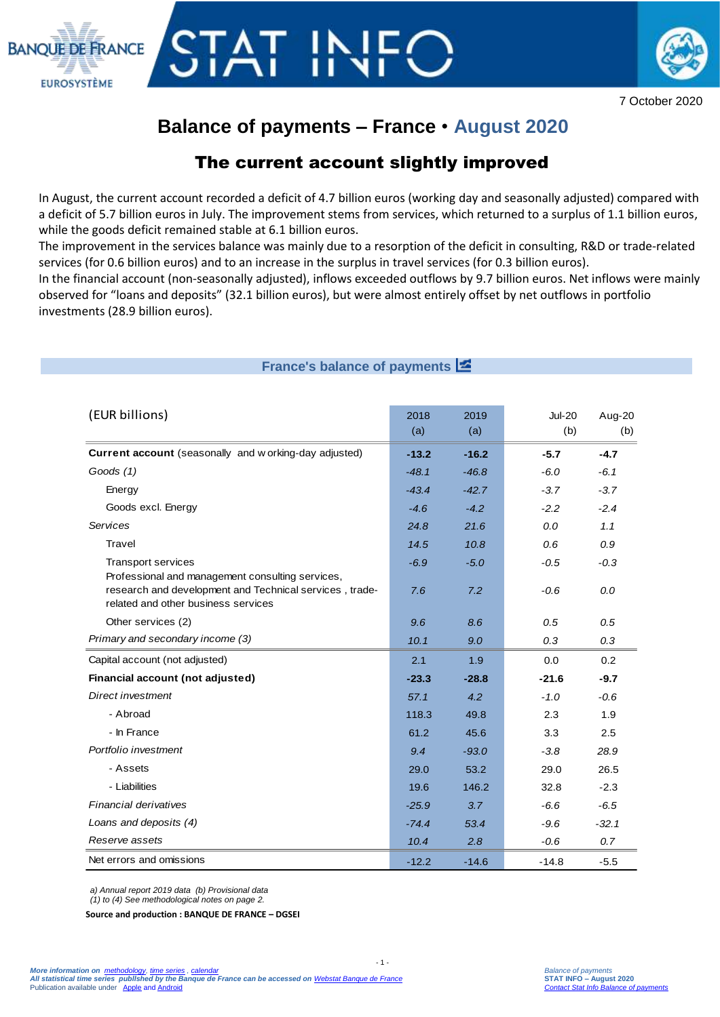



7 October 2020

# **Balance of payments – France** • **August 2020**

## The current account slightly improved

In August, the current account recorded a deficit of 4.7 billion euros (working day and seasonally adjusted) compared with a deficit of 5.7 billion euros in July. The improvement stems from services, which returned to a surplus of 1.1 billion euros, while the goods deficit remained stable at 6.1 billion euros.

The improvement in the services balance was mainly due to a resorption of the deficit in consulting, R&D or trade-related services (for 0.6 billion euros) and to an increase in the surplus in travel services (for 0.3 billion euros).

In the financial account (non-seasonally adjusted), inflows exceeded outflows by 9.7 billion euros. Net inflows were mainly observed for "loans and deposits" (32.1 billion euros), but were almost entirely offset by net outflows in portfolio investments (28.9 billion euros).

## **France's balance of payments**

| (EUR billions)                                                                                                                                     | 2018<br>(a) | 2019<br>(a) | <b>Jul-20</b><br>(b) | Aug-20<br>(b) |
|----------------------------------------------------------------------------------------------------------------------------------------------------|-------------|-------------|----------------------|---------------|
| Current account (seasonally and w orking-day adjusted)                                                                                             | $-13.2$     | $-16.2$     | $-5.7$               | $-4.7$        |
| Goods (1)                                                                                                                                          | $-48.1$     | $-46.8$     | $-6.0$               | $-6.1$        |
| Energy                                                                                                                                             | $-43.4$     | $-42.7$     | $-3.7$               | $-3.7$        |
| Goods excl. Energy                                                                                                                                 | $-4.6$      | $-4.2$      | $-2.2$               | $-2.4$        |
| <b>Services</b>                                                                                                                                    | 24.8        | 21.6        | 0.0                  | 1.1           |
| Travel                                                                                                                                             | 14.5        | 10.8        | 0.6                  | 0.9           |
| <b>Transport services</b>                                                                                                                          | $-6.9$      | $-5.0$      | $-0.5$               | $-0.3$        |
| Professional and management consulting services,<br>research and development and Technical services, trade-<br>related and other business services | 7.6         | 7.2         | $-0.6$               | 0.0           |
| Other services (2)                                                                                                                                 | 9.6         | 8.6         | 0.5                  | 0.5           |
| Primary and secondary income (3)                                                                                                                   | 10.1        | 9.0         | 0.3                  | 0.3           |
| Capital account (not adjusted)                                                                                                                     | 2.1         | 1.9         | 0.0                  | 0.2           |
| Financial account (not adjusted)                                                                                                                   | $-23.3$     | $-28.8$     | $-21.6$              | $-9.7$        |
| Direct investment                                                                                                                                  | 57.1        | 4.2         | $-1.0$               | $-0.6$        |
| - Abroad                                                                                                                                           | 118.3       | 49.8        | 2.3                  | 1.9           |
| - In France                                                                                                                                        | 61.2        | 45.6        | 3.3                  | 2.5           |
| Portfolio investment                                                                                                                               | 9.4         | $-93.0$     | $-3.8$               | 28.9          |
| - Assets                                                                                                                                           | 29.0        | 53.2        | 29.0                 | 26.5          |
| - Liabilities                                                                                                                                      | 19.6        | 146.2       | 32.8                 | $-2.3$        |
| Financial derivatives                                                                                                                              | $-25.9$     | 3.7         | $-6.6$               | $-6.5$        |
| Loans and deposits (4)                                                                                                                             | $-74.4$     | 53.4        | $-9.6$               | $-32.1$       |
| Reserve assets                                                                                                                                     | 10.4        | 2.8         | $-0.6$               | 0.7           |
| Net errors and omissions                                                                                                                           | $-12.2$     | $-14.6$     | $-14.8$              | $-5.5$        |

 $-1$ .

*a) Annual report 2019 data (b) Provisional data*

*(1) to (4) See methodological notes on page 2.*

**Source and production : BANQUE DE FRANCE – DGSEI**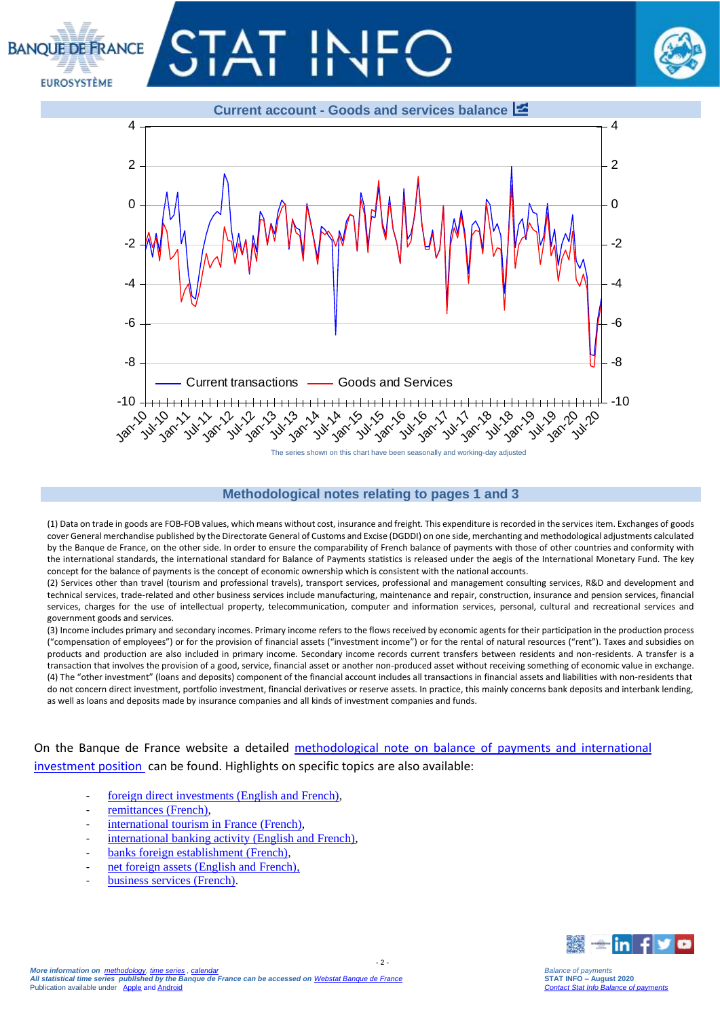# **BANOUE DE FRANCE EUROSYSTÈME**





#### **Methodological notes relating to pages 1 and 3**

Jul-11 Jan-12 Jul-12 Jan-13 Jul-13 Jan-14 Jul-14 Jan-15 Jul-15 Jan-16 Jul-16 Jan-17 Jul-17 Jan-18 Jul-18 Jan-19 Jul-19 Jan-20 Jul-20

The series shown on this chart have been seasonally and working-day adjusted

(1) Data on trade in goods are FOB-FOB values, which means without cost, insurance and freight. This expenditure is recorded in the services item. Exchanges of goods cover General merchandise published by the Directorate General of Customs and Excise (DGDDI) on one side, merchanting and methodological adjustments calculated by the Banque de France, on the other side. In order to ensure the comparability of French balance of payments with those of other countries and conformity with the international standards, the international standard for Balance of Payments statistics is released under the aegis of the International Monetary Fund. The key concept for the balance of payments is the concept of economic ownership which is consistent with the national accounts.

(2) Services other than travel (tourism and professional travels), transport services, professional and management consulting services, R&D and development and technical services, trade-related and other business services include manufacturing, maintenance and repair, construction, insurance and pension services, financial services, charges for the use of intellectual property, telecommunication, computer and information services, personal, cultural and recreational services and government goods and services.

(3) Income includes primary and secondary incomes. Primary income refers to the flows received by economic agents for their participation in the production process ("compensation of employees") or for the provision of financial assets ("investment income") or for the rental of natural resources ("rent"). Taxes and subsidies on products and production are also included in primary income. Secondary income records current transfers between residents and non-residents. A transfer is a transaction that involves the provision of a good, service, financial asset or another non-produced asset without receiving something of economic value in exchange. (4) The "other investment" (loans and deposits) component of the financial account includes all transactions in financial assets and liabilities with non-residents that do not concern direct investment, portfolio investment, financial derivatives or reserve assets. In practice, this mainly concerns bank deposits and interbank lending, as well as loans and deposits made by insurance companies and all kinds of investment companies and funds.

On the Banque de France website a detailed [methodological note on balance of payments and international](https://www.banque-france.fr/sites/default/files/media/2016/11/16/bdp-gb-methodologie.pdf)  [investment position](https://www.banque-france.fr/sites/default/files/media/2016/11/16/bdp-gb-methodologie.pdf) can be found. Highlights on specific topics are also available:

- [foreign direct investments \(English and French\),](https://www.banque-france.fr/en/statistics/balance-payments/foreign-direct-investment)
- [remittances \(French\),](https://www.banque-france.fr/statistiques/balance-des-paiements/la-remuneration-des-salaries-et-les-envois-de-fonds-des-travailleurs)

Jan-10 10 11

- [international tourism in France](https://www.banque-france.fr/statistiques/balance-des-paiements/les-services-de-voyages) (French),
- [international banking activity \(English and French\),](https://www.banque-france.fr/en/statistics/balance-payments/international-banking-activity)
- [banks foreign establishment \(French\),](https://www.banque-france.fr/statistiques/balance-des-paiements/les-implantations-bancaires-letranger)
- net foreign assets (English and French).
- [business services \(French\).](https://www.banque-france.fr/statistiques/balance-des-paiements-et-statistiques-bancaires-internationales/services-hors-voyages/les-services-aux-entreprises)



*More information on [methodology,](https://www.banque-france.fr/en/statistics/access-series/methodologies) [time series](http://webstat.banque-france.fr/en/browse.do?node=5384221) [, calendar](https://www.banque-france.fr/en/statistics/calendar)a* A*ll statistical time series publlshed by the Banque de France can be accessed on <u>[Webstat Banque de France](http://webstat.banque-france.fr/en/home.do)</u><br>Publication available under [Apple](https://itunes.apple.com/fr/app/banquefrance/id663817914?l=fr&ls=1&mt=8) and [Android](https://play.google.com/store/apps/details?id=fr.bdf.mobile&feature=search_result#?t=W251bGwsMSwyLDEsImZyLmJkZi5tb2JpbGUiXQ)*